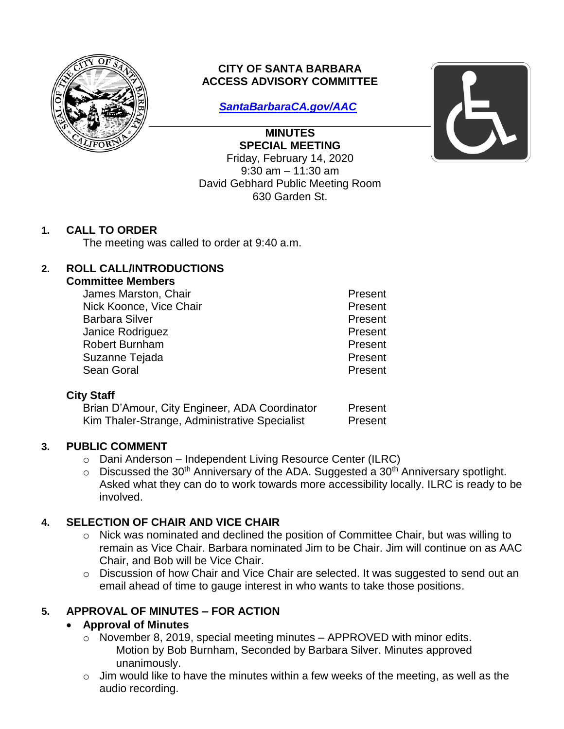

# **CITY OF SANTA BARBARA ACCESS ADVISORY COMMITTEE**

*[SantaBarbaraCA.gov/AAC](https://www.santabarbaraca.gov/gov/brdcomm/ac/arts/agendas.asp)*

**MINUTES SPECIAL MEETING**  Friday, February 14, 2020 9:30 am – 11:30 am David Gebhard Public Meeting Room 630 Garden St.



# **1. CALL TO ORDER**

The meeting was called to order at 9:40 a.m.

### **2. ROLL CALL/INTRODUCTIONS**

#### **Committee Members**

| James Marston, Chair    | Present |
|-------------------------|---------|
| Nick Koonce, Vice Chair | Present |
| <b>Barbara Silver</b>   | Present |
| Janice Rodriguez        | Present |
| <b>Robert Burnham</b>   | Present |
| Suzanne Tejada          | Present |
| Sean Goral              | Present |
|                         |         |

### **City Staff**

| Brian D'Amour, City Engineer, ADA Coordinator | Present |
|-----------------------------------------------|---------|
| Kim Thaler-Strange, Administrative Specialist | Present |

### **3. PUBLIC COMMENT**

- o Dani Anderson Independent Living Resource Center (ILRC)
- $\circ$  Discussed the 30<sup>th</sup> Anniversary of the ADA. Suggested a 30<sup>th</sup> Anniversary spotlight. Asked what they can do to work towards more accessibility locally. ILRC is ready to be involved.

# **4. SELECTION OF CHAIR AND VICE CHAIR**

- o Nick was nominated and declined the position of Committee Chair, but was willing to remain as Vice Chair. Barbara nominated Jim to be Chair. Jim will continue on as AAC Chair, and Bob will be Vice Chair.
- o Discussion of how Chair and Vice Chair are selected. It was suggested to send out an email ahead of time to gauge interest in who wants to take those positions.

# **5. APPROVAL OF MINUTES – FOR ACTION**

### **Approval of Minutes**

- o November 8, 2019, special meeting minutes APPROVED with minor edits. Motion by Bob Burnham, Seconded by Barbara Silver. Minutes approved unanimously.
- o Jim would like to have the minutes within a few weeks of the meeting, as well as the audio recording.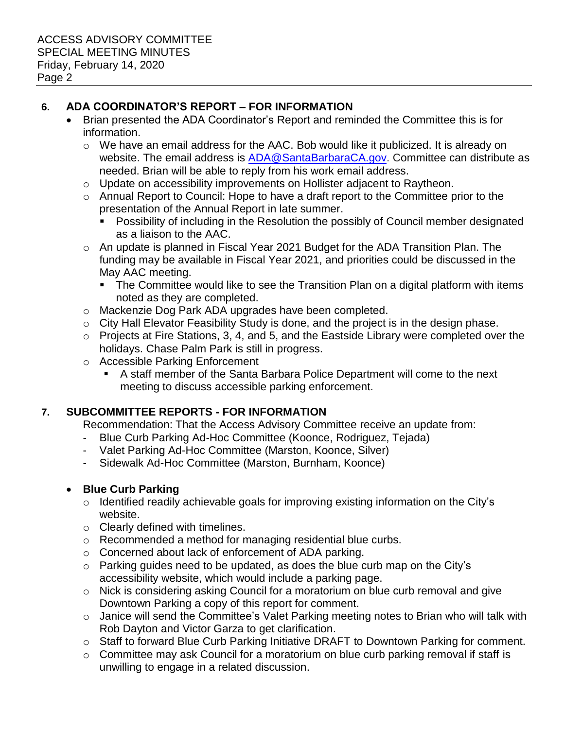### **6. ADA COORDINATOR'S REPORT – FOR INFORMATION**

- Brian presented the ADA Coordinator's Report and reminded the Committee this is for information.
	- o We have an email address for the AAC. Bob would like it publicized. It is already on website. The email address is [ADA@SantaBarbaraCA.gov.](mailto:ADA@SantaBarbaraCA.gov) Committee can distribute as needed. Brian will be able to reply from his work email address.
	- o Update on accessibility improvements on Hollister adjacent to Raytheon.
	- o Annual Report to Council: Hope to have a draft report to the Committee prior to the presentation of the Annual Report in late summer.
		- Possibility of including in the Resolution the possibly of Council member designated as a liaison to the AAC.
	- o An update is planned in Fiscal Year 2021 Budget for the ADA Transition Plan. The funding may be available in Fiscal Year 2021, and priorities could be discussed in the May AAC meeting.
		- The Committee would like to see the Transition Plan on a digital platform with items noted as they are completed.
	- o Mackenzie Dog Park ADA upgrades have been completed.
	- o City Hall Elevator Feasibility Study is done, and the project is in the design phase.
	- o Projects at Fire Stations, 3, 4, and 5, and the Eastside Library were completed over the holidays. Chase Palm Park is still in progress.
	- o Accessible Parking Enforcement
		- A staff member of the Santa Barbara Police Department will come to the next meeting to discuss accessible parking enforcement.

### **7. SUBCOMMITTEE REPORTS - FOR INFORMATION**

Recommendation: That the Access Advisory Committee receive an update from:

- Blue Curb Parking Ad-Hoc Committee (Koonce, Rodriguez, Tejada)
- Valet Parking Ad-Hoc Committee (Marston, Koonce, Silver)
- Sidewalk Ad-Hoc Committee (Marston, Burnham, Koonce)

### **Blue Curb Parking**

- o Identified readily achievable goals for improving existing information on the City's website.
- o Clearly defined with timelines.
- o Recommended a method for managing residential blue curbs.
- o Concerned about lack of enforcement of ADA parking.
- o Parking guides need to be updated, as does the blue curb map on the City's accessibility website, which would include a parking page.
- o Nick is considering asking Council for a moratorium on blue curb removal and give Downtown Parking a copy of this report for comment.
- o Janice will send the Committee's Valet Parking meeting notes to Brian who will talk with Rob Dayton and Victor Garza to get clarification.
- o Staff to forward Blue Curb Parking Initiative DRAFT to Downtown Parking for comment.
- o Committee may ask Council for a moratorium on blue curb parking removal if staff is unwilling to engage in a related discussion.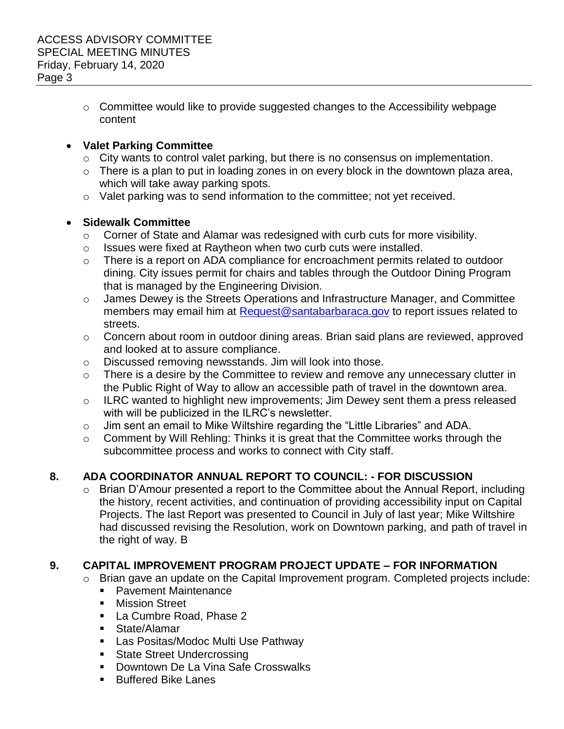o Committee would like to provide suggested changes to the Accessibility webpage content

#### **Valet Parking Committee**

- o City wants to control valet parking, but there is no consensus on implementation.
- $\circ$  There is a plan to put in loading zones in on every block in the downtown plaza area, which will take away parking spots.
- o Valet parking was to send information to the committee; not yet received.

#### **Sidewalk Committee**

- o Corner of State and Alamar was redesigned with curb cuts for more visibility.
- o Issues were fixed at Raytheon when two curb cuts were installed.
- o There is a report on ADA compliance for encroachment permits related to outdoor dining. City issues permit for chairs and tables through the Outdoor Dining Program that is managed by the Engineering Division.
- o James Dewey is the Streets Operations and Infrastructure Manager, and Committee members may email him at [Request@santabarbaraca.gov](mailto:request@santabarbaraca.gov) to report issues related to streets.
- o Concern about room in outdoor dining areas. Brian said plans are reviewed, approved and looked at to assure compliance.
- o Discussed removing newsstands. Jim will look into those.
- o There is a desire by the Committee to review and remove any unnecessary clutter in the Public Right of Way to allow an accessible path of travel in the downtown area.
- o ILRC wanted to highlight new improvements; Jim Dewey sent them a press released with will be publicized in the ILRC's newsletter.
- o Jim sent an email to Mike Wiltshire regarding the "Little Libraries" and ADA.
- o Comment by Will Rehling: Thinks it is great that the Committee works through the subcommittee process and works to connect with City staff.

# **8. ADA COORDINATOR ANNUAL REPORT TO COUNCIL: - FOR DISCUSSION**

o Brian D'Amour presented a report to the Committee about the Annual Report, including the history, recent activities, and continuation of providing accessibility input on Capital Projects. The last Report was presented to Council in July of last year; Mike Wiltshire had discussed revising the Resolution, work on Downtown parking, and path of travel in the right of way. B

### **9. CAPITAL IMPROVEMENT PROGRAM PROJECT UPDATE – FOR INFORMATION**

- o Brian gave an update on the Capital Improvement program. Completed projects include:
	- **Pavement Maintenance**
	- **Nission Street**
	- La Cumbre Road, Phase 2
	- State/Alamar
	- **Las Positas/Modoc Multi Use Pathway**
	- **State Street Undercrossing**
	- **Downtown De La Vina Safe Crosswalks**
	- **Buffered Bike Lanes**